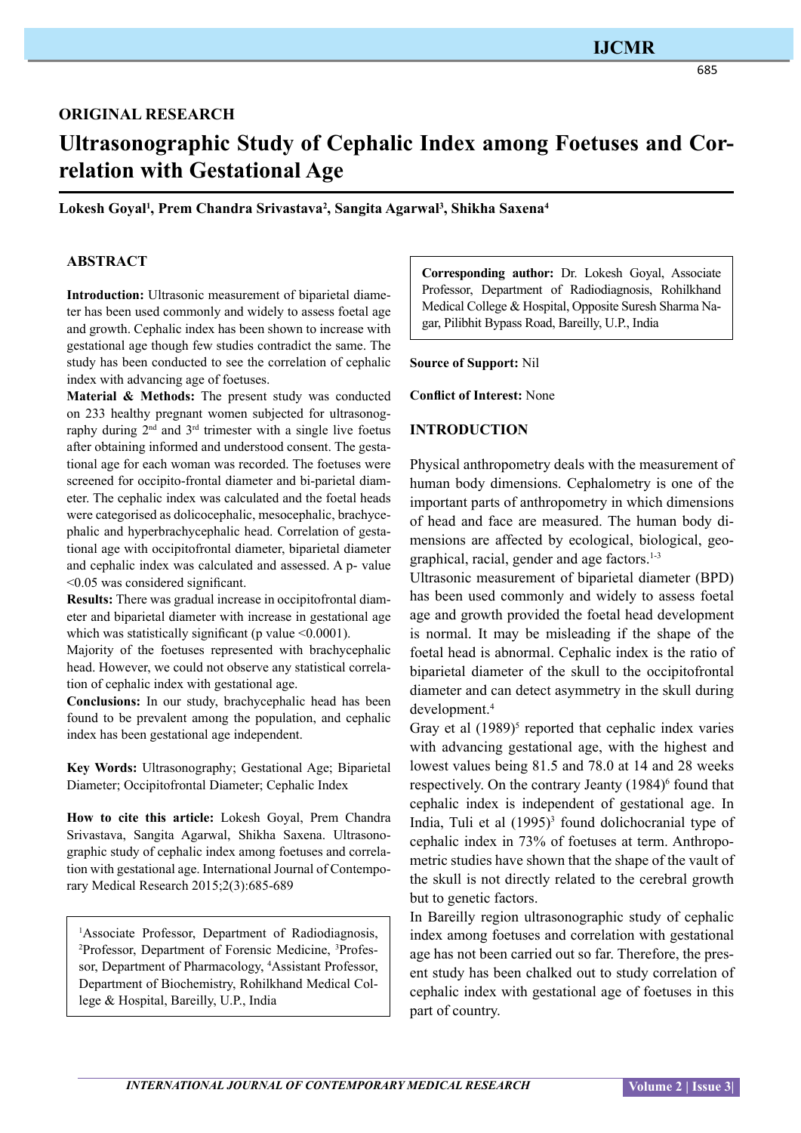# **IJCMR**

#### 685

# **original research**

# **Ultrasonographic Study of Cephalic Index among Foetuses and Correlation with Gestational Age**

**Lokesh Goyal1 , Prem Chandra Srivastava2 , Sangita Agarwal3 , Shikha Saxena4**

#### **ABSTRACT**

**Introduction:** Ultrasonic measurement of biparietal diameter has been used commonly and widely to assess foetal age and growth. Cephalic index has been shown to increase with gestational age though few studies contradict the same. The study has been conducted to see the correlation of cephalic index with advancing age of foetuses.

**Material & Methods:** The present study was conducted on 233 healthy pregnant women subjected for ultrasonography during  $2<sup>nd</sup>$  and  $3<sup>rd</sup>$  trimester with a single live foetus after obtaining informed and understood consent. The gestational age for each woman was recorded. The foetuses were screened for occipito-frontal diameter and bi-parietal diameter. The cephalic index was calculated and the foetal heads were categorised as dolicocephalic, mesocephalic, brachycephalic and hyperbrachycephalic head. Correlation of gestational age with occipitofrontal diameter, biparietal diameter and cephalic index was calculated and assessed. A p- value <0.05 was considered significant.

**Results:** There was gradual increase in occipitofrontal diameter and biparietal diameter with increase in gestational age which was statistically significant (p value  $\leq 0.0001$ ).

Majority of the foetuses represented with brachycephalic head. However, we could not observe any statistical correlation of cephalic index with gestational age.

**Conclusions:** In our study, brachycephalic head has been found to be prevalent among the population, and cephalic index has been gestational age independent.

**Key Words:** Ultrasonography; Gestational Age; Biparietal Diameter; Occipitofrontal Diameter; Cephalic Index

**How to cite this article:** Lokesh Goyal, Prem Chandra Srivastava, Sangita Agarwal, Shikha Saxena. Ultrasonographic study of cephalic index among foetuses and correlation with gestational age. International Journal of Contemporary Medical Research 2015;2(3):685-689

<sup>1</sup>Associate Professor, Department of Radiodiagnosis, 2 Professor, Department of Forensic Medicine, 3 Professor, Department of Pharmacology, <sup>4</sup>Assistant Professor, Department of Biochemistry, Rohilkhand Medical College & Hospital, Bareilly, U.P., India

**Corresponding author:** Dr. Lokesh Goyal, Associate Professor, Department of Radiodiagnosis, Rohilkhand Medical College & Hospital, Opposite Suresh Sharma Nagar, Pilibhit Bypass Road, Bareilly, U.P., India

**Source of Support:** Nil

**Conflict of Interest:** None

#### **Introduction**

Physical anthropometry deals with the measurement of human body dimensions. Cephalometry is one of the important parts of anthropometry in which dimensions of head and face are measured. The human body dimensions are affected by ecological, biological, geographical, racial, gender and age factors.1-3

Ultrasonic measurement of biparietal diameter (BPD) has been used commonly and widely to assess foetal age and growth provided the foetal head development is normal. It may be misleading if the shape of the foetal head is abnormal. Cephalic index is the ratio of biparietal diameter of the skull to the occipitofrontal diameter and can detect asymmetry in the skull during development.4

Gray et al  $(1989)^5$  reported that cephalic index varies with advancing gestational age, with the highest and lowest values being 81.5 and 78.0 at 14 and 28 weeks respectively. On the contrary Jeanty (1984)<sup>6</sup> found that cephalic index is independent of gestational age. In India, Tuli et al  $(1995)^3$  found dolichocranial type of cephalic index in 73% of foetuses at term. Anthropometric studies have shown that the shape of the vault of the skull is not directly related to the cerebral growth but to genetic factors.

In Bareilly region ultrasonographic study of cephalic index among foetuses and correlation with gestational age has not been carried out so far. Therefore, the present study has been chalked out to study correlation of cephalic index with gestational age of foetuses in this part of country.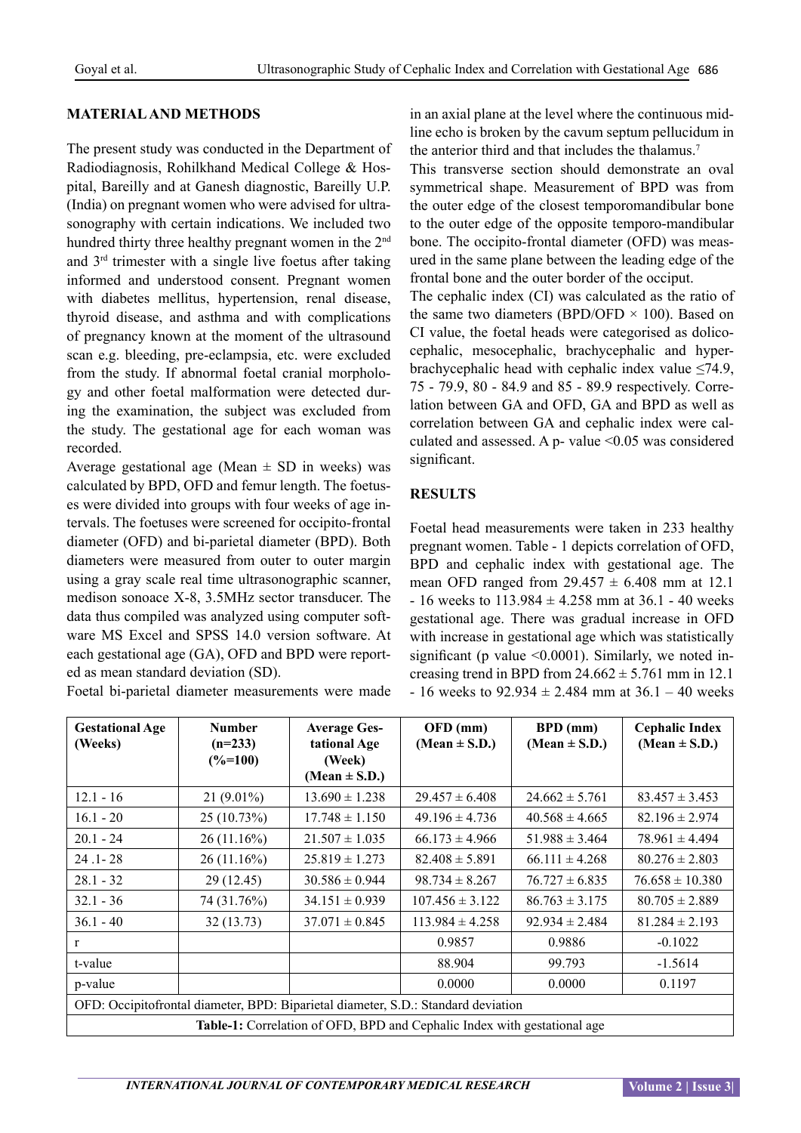## **Material and Methods**

The present study was conducted in the Department of Radiodiagnosis, Rohilkhand Medical College & Hospital, Bareilly and at Ganesh diagnostic, Bareilly U.P. (India) on pregnant women who were advised for ultrasonography with certain indications. We included two hundred thirty three healthy pregnant women in the 2<sup>nd</sup> and 3rd trimester with a single live foetus after taking informed and understood consent. Pregnant women with diabetes mellitus, hypertension, renal disease, thyroid disease, and asthma and with complications of pregnancy known at the moment of the ultrasound scan e.g. bleeding, pre-eclampsia, etc. were excluded from the study. If abnormal foetal cranial morphology and other foetal malformation were detected during the examination, the subject was excluded from the study. The gestational age for each woman was recorded.

Average gestational age (Mean  $\pm$  SD in weeks) was calculated by BPD, OFD and femur length. The foetuses were divided into groups with four weeks of age intervals. The foetuses were screened for occipito-frontal diameter (OFD) and bi-parietal diameter (BPD). Both diameters were measured from outer to outer margin using a gray scale real time ultrasonographic scanner, medison sonoace X-8, 3.5MHz sector transducer. The data thus compiled was analyzed using computer software MS Excel and SPSS 14.0 version software. At each gestational age (GA), OFD and BPD were reported as mean standard deviation (SD).

Foetal bi-parietal diameter measurements were made

in an axial plane at the level where the continuous midline echo is broken by the cavum septum pellucidum in the anterior third and that includes the thalamus.<sup>7</sup>

This transverse section should demonstrate an oval symmetrical shape. Measurement of BPD was from the outer edge of the closest temporomandibular bone to the outer edge of the opposite temporo-mandibular bone. The occipito-frontal diameter (OFD) was measured in the same plane between the leading edge of the frontal bone and the outer border of the occiput.

The cephalic index (CI) was calculated as the ratio of the same two diameters (BPD/OFD  $\times$  100). Based on CI value, the foetal heads were categorised as dolicocephalic, mesocephalic, brachycephalic and hyperbrachycephalic head with cephalic index value  $\leq$ 74.9, 75 - 79.9, 80 - 84.9 and 85 - 89.9 respectively. Correlation between GA and OFD, GA and BPD as well as correlation between GA and cephalic index were calculated and assessed. A p- value  $\leq 0.05$  was considered significant.

#### **Results**

Foetal head measurements were taken in 233 healthy pregnant women. Table - 1 depicts correlation of OFD, BPD and cephalic index with gestational age. The mean OFD ranged from  $29.457 \pm 6.408$  mm at 12.1  $-16$  weeks to 113.984  $\pm$  4.258 mm at 36.1 - 40 weeks gestational age. There was gradual increase in OFD with increase in gestational age which was statistically significant (p value  $\leq 0.0001$ ). Similarly, we noted increasing trend in BPD from  $24.662 \pm 5.761$  mm in 12.1  $-16$  weeks to 92.934  $\pm$  2.484 mm at 36.1 – 40 weeks

| <b>Gestational Age</b><br>(Weeks)                                                 | <b>Number</b><br>$(n=233)$<br>$(\% = 100)$ | <b>Average Ges-</b><br>tational Age<br>(Week)<br>(Mean $\pm$ S.D.) | OFD (mm)<br>(Mean $\pm$ S.D.) | <b>BPD</b> (mm)<br>(Mean $\pm$ S.D.) | <b>Cephalic Index</b><br>(Mean $\pm$ S.D.) |  |  |  |  |
|-----------------------------------------------------------------------------------|--------------------------------------------|--------------------------------------------------------------------|-------------------------------|--------------------------------------|--------------------------------------------|--|--|--|--|
| $12.1 - 16$                                                                       | $21(9.01\%)$                               | $13.690 \pm 1.238$                                                 | $29.457 \pm 6.408$            | $24.662 \pm 5.761$                   | $83.457 \pm 3.453$                         |  |  |  |  |
| $16.1 - 20$                                                                       | 25(10.73%)                                 | $17.748 \pm 1.150$                                                 | $49.196 \pm 4.736$            | $40.568 \pm 4.665$                   | $82.196 \pm 2.974$                         |  |  |  |  |
| $20.1 - 24$                                                                       | 26(11.16%)                                 | $21.507 \pm 1.035$                                                 | $66.173 \pm 4.966$            | $51.988 \pm 3.464$                   | $78.961 \pm 4.494$                         |  |  |  |  |
| $24.1 - 28$                                                                       | 26(11.16%)                                 | $25.819 \pm 1.273$                                                 | $82.408 \pm 5.891$            | $66.111 \pm 4.268$                   | $80.276 \pm 2.803$                         |  |  |  |  |
| $28.1 - 32$                                                                       | 29 (12.45)                                 | $30.586 \pm 0.944$                                                 | $98.734 \pm 8.267$            | $76.727 \pm 6.835$                   | $76.658 \pm 10.380$                        |  |  |  |  |
| $32.1 - 36$                                                                       | 74 (31.76%)                                | $34.151 \pm 0.939$                                                 | $107.456 \pm 3.122$           | $86.763 \pm 3.175$                   | $80.705 \pm 2.889$                         |  |  |  |  |
| $36.1 - 40$                                                                       | 32(13.73)                                  | $37.071 \pm 0.845$                                                 | $113.984 \pm 4.258$           | $92.934 \pm 2.484$                   | $81.284 \pm 2.193$                         |  |  |  |  |
| $\mathbf{r}$                                                                      |                                            |                                                                    | 0.9857                        | 0.9886                               | $-0.1022$                                  |  |  |  |  |
| t-value                                                                           |                                            |                                                                    | 88.904                        | 99.793                               | $-1.5614$                                  |  |  |  |  |
| p-value                                                                           |                                            |                                                                    | 0.0000                        | 0.0000                               | 0.1197                                     |  |  |  |  |
| OFD: Occipitofrontal diameter, BPD: Biparietal diameter, S.D.: Standard deviation |                                            |                                                                    |                               |                                      |                                            |  |  |  |  |
| <b>Table-1:</b> Correlation of OFD, BPD and Cephalic Index with gestational age   |                                            |                                                                    |                               |                                      |                                            |  |  |  |  |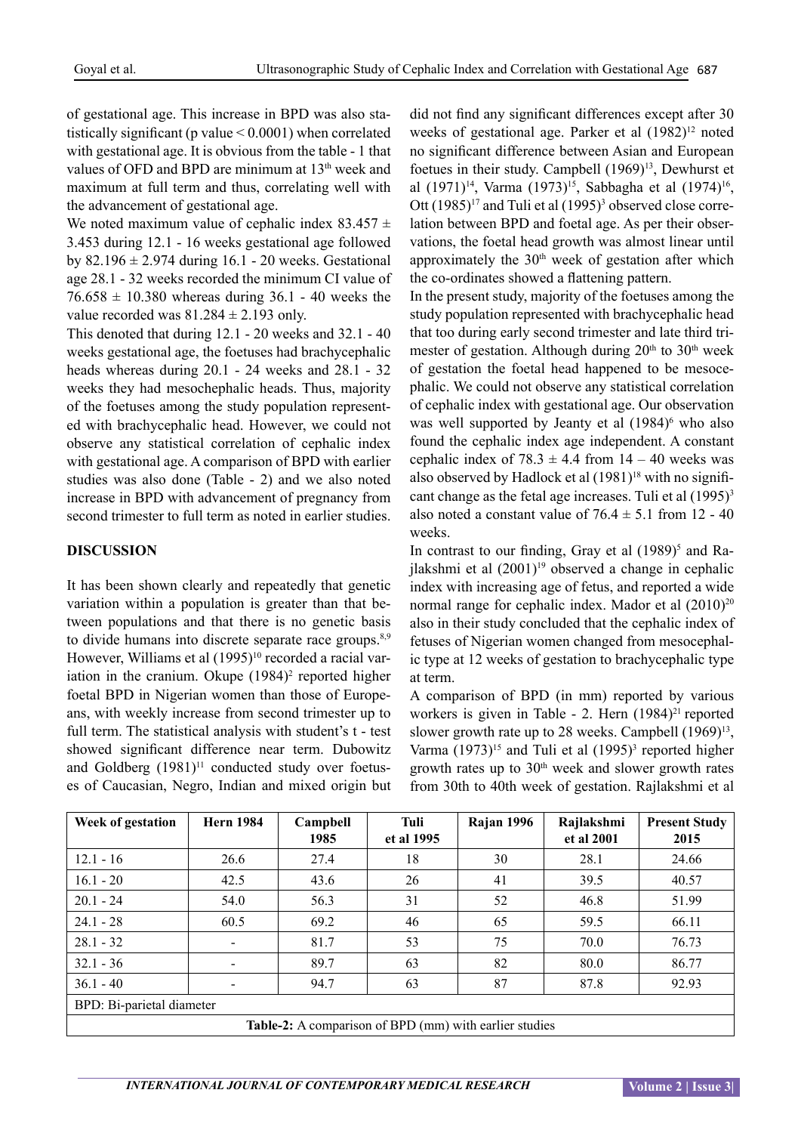of gestational age. This increase in BPD was also statistically significant (p value < 0.0001) when correlated with gestational age. It is obvious from the table - 1 that values of OFD and BPD are minimum at 13<sup>th</sup> week and maximum at full term and thus, correlating well with the advancement of gestational age.

We noted maximum value of cephalic index  $83.457 \pm$ 3.453 during 12.1 - 16 weeks gestational age followed by  $82.196 \pm 2.974$  during 16.1 - 20 weeks. Gestational age 28.1 - 32 weeks recorded the minimum CI value of  $76.658 \pm 10.380$  whereas during 36.1 - 40 weeks the value recorded was  $81.284 \pm 2.193$  only.

This denoted that during 12.1 - 20 weeks and 32.1 - 40 weeks gestational age, the foetuses had brachycephalic heads whereas during 20.1 - 24 weeks and 28.1 - 32 weeks they had mesochephalic heads. Thus, majority of the foetuses among the study population represented with brachycephalic head. However, we could not observe any statistical correlation of cephalic index with gestational age. A comparison of BPD with earlier studies was also done (Table - 2) and we also noted increase in BPD with advancement of pregnancy from second trimester to full term as noted in earlier studies.

#### **Discussion**

It has been shown clearly and repeatedly that genetic variation within a population is greater than that between populations and that there is no genetic basis to divide humans into discrete separate race groups.<sup>8,9</sup> However, Williams et al  $(1995)^{10}$  recorded a racial variation in the cranium. Okupe (1984)<sup>2</sup> reported higher foetal BPD in Nigerian women than those of Europeans, with weekly increase from second trimester up to full term. The statistical analysis with student's t - test showed significant difference near term. Dubowitz and Goldberg  $(1981)^{11}$  conducted study over foetuses of Caucasian, Negro, Indian and mixed origin but

did not find any significant differences except after 30 weeks of gestational age. Parker et al  $(1982)^{12}$  noted no significant difference between Asian and European foetues in their study. Campbell (1969)<sup>13</sup>, Dewhurst et al (1971)<sup>14</sup>, Varma (1973)<sup>15</sup>, Sabbagha et al (1974)<sup>16</sup>, Ott  $(1985)^{17}$  and Tuli et al  $(1995)^{3}$  observed close correlation between BPD and foetal age. As per their observations, the foetal head growth was almost linear until approximately the  $30<sup>th</sup>$  week of gestation after which the co-ordinates showed a flattening pattern.

In the present study, majority of the foetuses among the study population represented with brachycephalic head that too during early second trimester and late third trimester of gestation. Although during  $20<sup>th</sup>$  to  $30<sup>th</sup>$  week of gestation the foetal head happened to be mesocephalic. We could not observe any statistical correlation of cephalic index with gestational age. Our observation was well supported by Jeanty et al  $(1984)^6$  who also found the cephalic index age independent. A constant cephalic index of  $78.3 \pm 4.4$  from  $14 - 40$  weeks was also observed by Hadlock et al  $(1981)^{18}$  with no significant change as the fetal age increases. Tuli et al  $(1995)^3$ also noted a constant value of  $76.4 \pm 5.1$  from 12 - 40 weeks.

In contrast to our finding, Gray et al  $(1989)^5$  and Railakshmi et al  $(2001)^{19}$  observed a change in cephalic index with increasing age of fetus, and reported a wide normal range for cephalic index. Mador et al  $(2010)^{20}$ also in their study concluded that the cephalic index of fetuses of Nigerian women changed from mesocephalic type at 12 weeks of gestation to brachycephalic type at term.

A comparison of BPD (in mm) reported by various workers is given in Table - 2. Hern  $(1984)^{21}$  reported slower growth rate up to 28 weeks. Campbell  $(1969)^{13}$ , Varma  $(1973)^{15}$  and Tuli et al  $(1995)^{3}$  reported higher growth rates up to  $30<sup>th</sup>$  week and slower growth rates from 30th to 40th week of gestation. Rajlakshmi et al

| Week of gestation                                             | <b>Hern 1984</b>             | Campbell | Tuli       | Rajan 1996 | Rajlakshmi | <b>Present Study</b> |  |  |  |
|---------------------------------------------------------------|------------------------------|----------|------------|------------|------------|----------------------|--|--|--|
|                                                               |                              | 1985     | et al 1995 |            | et al 2001 | 2015                 |  |  |  |
| $12.1 - 16$                                                   | 26.6                         | 27.4     | 18         | 30         | 28.1       | 24.66                |  |  |  |
| $16.1 - 20$                                                   | 42.5                         | 43.6     | 26         | 41         | 39.5       | 40.57                |  |  |  |
| $20.1 - 24$                                                   | 54.0                         | 56.3     | 31         | 52         | 46.8       | 51.99                |  |  |  |
| $24.1 - 28$                                                   | 60.5                         | 69.2     | 46         | 65         | 59.5       | 66.11                |  |  |  |
| $28.1 - 32$                                                   | $\qquad \qquad \blacksquare$ | 81.7     | 53         | 75         | 70.0       | 76.73                |  |  |  |
| $32.1 - 36$                                                   | $\qquad \qquad \blacksquare$ | 89.7     | 63         | 82         | 80.0       | 86.77                |  |  |  |
| $36.1 - 40$                                                   | $\qquad \qquad \blacksquare$ | 94.7     | 63         | 87         | 87.8       | 92.93                |  |  |  |
| BPD: Bi-parietal diameter                                     |                              |          |            |            |            |                      |  |  |  |
| <b>Table-2:</b> A comparison of BPD (mm) with earlier studies |                              |          |            |            |            |                      |  |  |  |

*INTERNATIONAL JOURNAL OF CONTEMPORARY MEDICAL RESEARCH Volume 2* | Issue 3|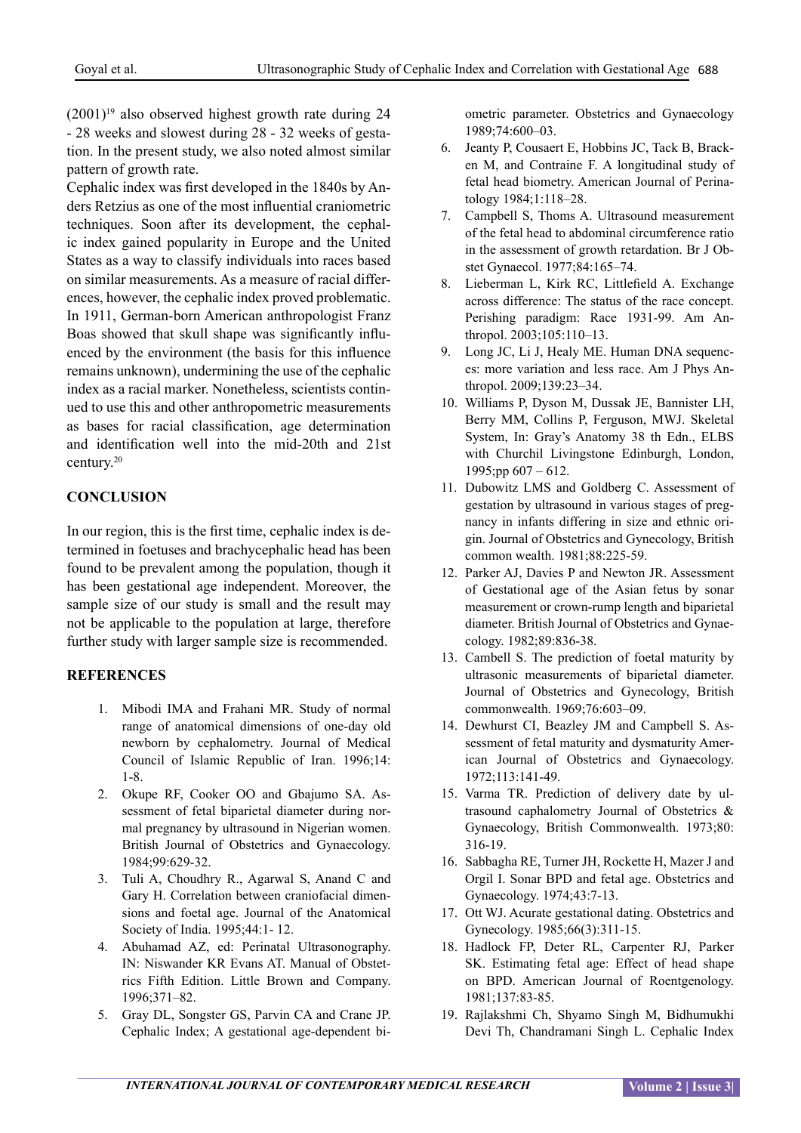$(2001)^{19}$  also observed highest growth rate during 24 - 28 weeks and slowest during 28 - 32 weeks of gestation. In the present study, we also noted almost similar pattern of growth rate.

Cephalic index was first developed in the 1840s by Anders Retzius as one of the most influential craniometric techniques. Soon after its development, the cephalic index gained popularity in Europe and the United States as a way to classify individuals into races based on similar measurements. As a measure of racial differences, however, the cephalic index proved problematic. In 1911, German-born American anthropologist Franz Boas showed that skull shape was significantly influenced by the environment (the basis for this influence remains unknown), undermining the use of the cephalic index as a racial marker. Nonetheless, scientists continued to use this and other anthropometric measurements as bases for racial classification, age determination and identification well into the mid-20th and 21st century.20

## **Conclusion**

In our region, this is the first time, cephalic index is determined in foetuses and brachycephalic head has been found to be prevalent among the population, though it has been gestational age independent. Moreover, the sample size of our study is small and the result may not be applicable to the population at large, therefore further study with larger sample size is recommended.

## **References**

- 1. Mibodi IMA and Frahani MR. Study of normal range of anatomical dimensions of one-day old newborn by cephalometry. Journal of Medical Council of Islamic Republic of Iran. 1996;14: 1-8.
- 2. Okupe RF, Cooker OO and Gbajumo SA. Assessment of fetal biparietal diameter during normal pregnancy by ultrasound in Nigerian women. British Journal of Obstetrics and Gynaecology. 1984;99:629-32.
- 3. Tuli A, Choudhry R., Agarwal S, Anand C and Gary H. Correlation between craniofacial dimensions and foetal age. Journal of the Anatomical Society of India. 1995;44:1- 12.
- 4. Abuhamad AZ, ed: Perinatal Ultrasonography. IN: Niswander KR Evans AT. Manual of Obstetrics Fifth Edition. Little Brown and Company. 1996;371–82.
- 5. Gray DL, Songster GS, Parvin CA and Crane JP. Cephalic Index; A gestational age-dependent bi-

ometric parameter. Obstetrics and Gynaecology 1989;74:600–03.

- 6. Jeanty P, Cousaert E, Hobbins JC, Tack B, Bracken M, and Contraine F. A longitudinal study of fetal head biometry. American Journal of Perinatology 1984;1:118–28.
- 7. Campbell S, Thoms A. Ultrasound measurement of the fetal head to abdominal circumference ratio in the assessment of growth retardation. Br J Obstet Gynaecol. 1977;84:165–74.
- 8. Lieberman L, Kirk RC, Littlefield A. Exchange across difference: The status of the race concept. Perishing paradigm: Race 1931-99. Am Anthropol. 2003;105:110–13.
- 9. Long JC, Li J, Healy ME. Human DNA sequences: more variation and less race. Am J Phys Anthropol. 2009;139:23–34.
- 10. Williams P, Dyson M, Dussak JE, Bannister LH, Berry MM, Collins P, Ferguson, MWJ. Skeletal System, In: Gray's Anatomy 38 th Edn., ELBS with Churchil Livingstone Edinburgh, London, 1995;pp  $607 - 612$ .
- 11. Dubowitz LMS and Goldberg C. Assessment of gestation by ultrasound in various stages of pregnancy in infants differing in size and ethnic origin. Journal of Obstetrics and Gynecology, British common wealth. 1981;88:225-59.
- 12. Parker AJ, Davies P and Newton JR. Assessment of Gestational age of the Asian fetus by sonar measurement or crown-rump length and biparietal diameter. British Journal of Obstetrics and Gynaecology. 1982;89:836-38.
- 13. Cambell S. The prediction of foetal maturity by ultrasonic measurements of biparietal diameter. Journal of Obstetrics and Gynecology, British commonwealth. 1969;76:603–09.
- 14. Dewhurst CI, Beazley JM and Campbell S. Assessment of fetal maturity and dysmaturity American Journal of Obstetrics and Gynaecology. 1972;113:141-49.
- 15. Varma TR. Prediction of delivery date by ultrasound caphalometry Journal of Obstetrics & Gynaecology, British Commonwealth. 1973;80: 316-19.
- 16. Sabbagha RE, Turner JH, Rockette H, Mazer J and Orgil I. Sonar BPD and fetal age. Obstetrics and Gynaecology. 1974;43:7-13.
- 17. Ott WJ. Acurate gestational dating. Obstetrics and Gynecology. 1985;66(3):311-15.
- 18. Hadlock FP, Deter RL, Carpenter RJ, Parker SK. Estimating fetal age: Effect of head shape on BPD. American Journal of Roentgenology.  $1981:137:83-85$
- 19. Rajlakshmi Ch, Shyamo Singh M, Bidhumukhi Devi Th, Chandramani Singh L. Cephalic Index